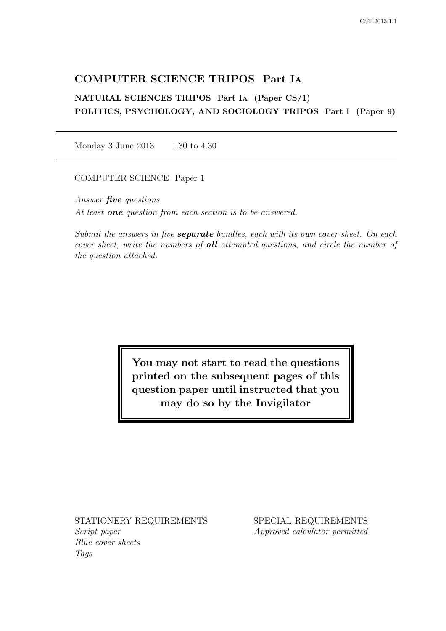# COMPUTER SCIENCE TRIPOS Part IA

# NATURAL SCIENCES TRIPOS Part IA (Paper CS/1) POLITICS, PSYCHOLOGY, AND SOCIOLOGY TRIPOS Part I (Paper 9)

Monday 3 June 2013 1.30 to 4.30

COMPUTER SCIENCE Paper 1

Answer **five** questions. At least **one** question from each section is to be answered.

Submit the answers in five **separate** bundles, each with its own cover sheet. On each cover sheet, write the numbers of all attempted questions, and circle the number of the question attached.

> You may not start to read the questions printed on the subsequent pages of this question paper until instructed that you may do so by the Invigilator

STATIONERY REQUIREMENTS

Script paper Blue cover sheets Tags

SPECIAL REQUIREMENTS Approved calculator permitted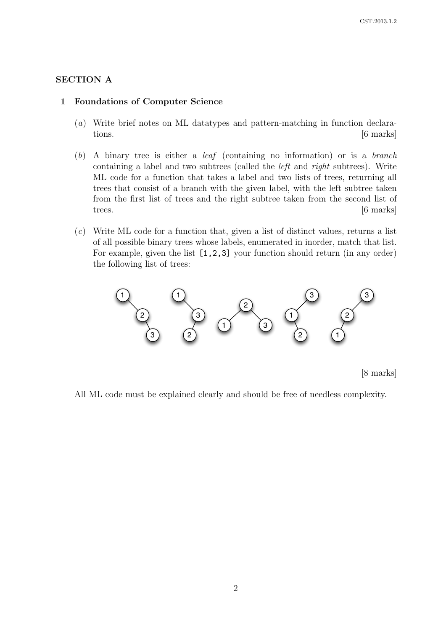## SECTION A

#### 1 Foundations of Computer Science

- (a) Write brief notes on ML datatypes and pattern-matching in function declarations.  $[6 \text{ marks}]$
- (b) A binary tree is either a leaf (containing no information) or is a branch containing a label and two subtrees (called the left and right subtrees). Write ML code for a function that takes a label and two lists of trees, returning all trees that consist of a branch with the given label, with the left subtree taken from the first list of trees and the right subtree taken from the second list of trees. [6 marks]
- (c) Write ML code for a function that, given a list of distinct values, returns a list of all possible binary trees whose labels, enumerated in inorder, match that list. For example, given the list [1,2,3] your function should return (in any order) the following list of trees:



All ML code must be explained clearly and should be free of needless complexity.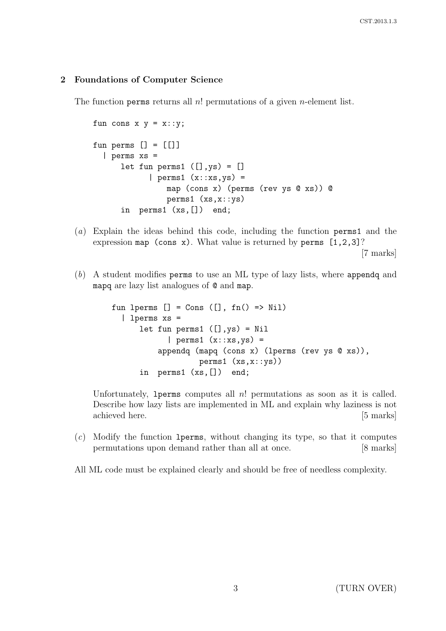## 2 Foundations of Computer Science

The function perms returns all  $n!$  permutations of a given *n*-element list.

```
fun cons x y = x::y;
fun perms [] = []| perms xs =
      let fun perms1 ([],ys) = []| perms1 (x::xs,ys) =
                map (cons x) (perms (rev ys @ xs)) @
               perms1 (xs,x::ys)
      in perms1 (xs,[]) end;
```
(a) Explain the ideas behind this code, including the function perms1 and the expression map (cons x). What value is returned by perms  $[1,2,3]$ ?

[7 marks]

(b) A student modifies perms to use an ML type of lazy lists, where appendq and mapq are lazy list analogues of @ and map.

```
fun lperms [] = Cons ([], fn() \Rightarrow Nil)| lperms xs =
      let fun perms1 ([],ys) = Nil
            | perms1(x::xs,ys) =appendq (mapq (cons x) (lperms (rev ys @ xs)),
                   perms1 (xs,x::ys))
      in perms1 (xs,[]) end;
```
Unfortunately, 1 perms computes all n! permutations as soon as it is called. Describe how lazy lists are implemented in ML and explain why laziness is not achieved here. [5 marks]

(c) Modify the function lperms, without changing its type, so that it computes permutations upon demand rather than all at once. [8 marks]

All ML code must be explained clearly and should be free of needless complexity.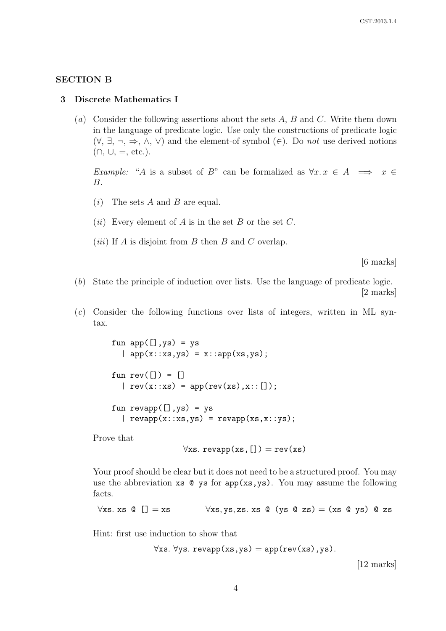# SECTION B

#### 3 Discrete Mathematics I

(a) Consider the following assertions about the sets  $A, B$  and  $C$ . Write them down in the language of predicate logic. Use only the constructions of predicate logic  $(\forall, \exists, \neg, \Rightarrow, \wedge, \vee)$  and the element-of symbol  $(\in)$ . Do *not* use derived notions  $(n, \cup, =, \text{etc.}).$ 

Example: "A is a subset of B" can be formalized as  $\forall x \in X \implies x \in X$ B.

- $(i)$  The sets A and B are equal.
- (*ii*) Every element of A is in the set B or the set C.
- (*iii*) If  $A$  is disjoint from  $B$  then  $B$  and  $C$  overlap.

[6 marks]

- (b) State the principle of induction over lists. Use the language of predicate logic. [2 marks]
- (c) Consider the following functions over lists of integers, written in ML syntax.

fun  $app([],ys) = ys$  $\vert$  app(x::xs,ys) = x::app(xs,ys); fun  $rev([]) = []$  $| rev(x::xs) = app(rev(xs),x::[]);$ fun  $revapp([],ys) = ys$  $| \text{revapp}(x::xs,ys) = \text{revapp}(xs, x::ys);$ 

Prove that

$$
\forall \texttt{xs.} \ \texttt{revapp}(\texttt{xs},[]) = \texttt{rev}(\texttt{xs})
$$

Your proof should be clear but it does not need to be a structured proof. You may use the abbreviation  $x s \in y s$  for  $app(xs, ys)$ . You may assume the following facts.

$$
\forall x s. x s \in [ ] = xs \qquad \forall x s, y s, z s. x s \in (ys \in zs) = (xs \in y s) \in zs
$$

Hint: first use induction to show that

$$
\forall \texttt{xs}.\ \forall \texttt{ys}.\ \texttt{revapp}(\texttt{xs}, \texttt{ys}) = \texttt{app}(\texttt{rev}(\texttt{xs}), \texttt{ys}).
$$

[12 marks]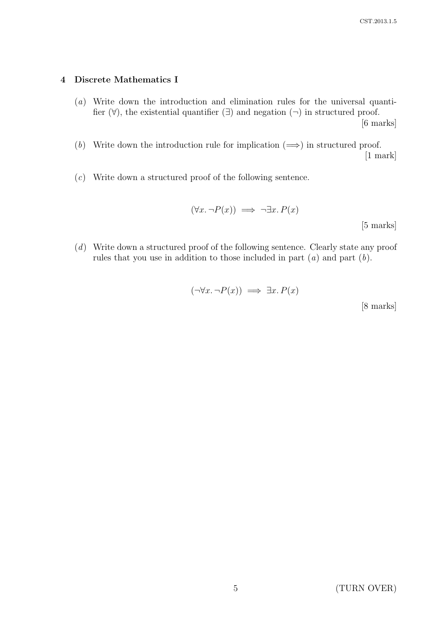# 4 Discrete Mathematics I

(a) Write down the introduction and elimination rules for the universal quantifier  $(\forall)$ , the existential quantifier  $(\exists)$  and negation  $(\neg)$  in structured proof.

[6 marks]

- (b) Write down the introduction rule for implication  $(\Longrightarrow)$  in structured proof. [1 mark]
- (c) Write down a structured proof of the following sentence.

$$
(\forall x. \neg P(x)) \implies \neg \exists x. P(x)
$$
 [5 marks]

(d) Write down a structured proof of the following sentence. Clearly state any proof rules that you use in addition to those included in part  $(a)$  and part  $(b)$ .

$$
(\neg \forall x. \neg P(x)) \implies \exists x. P(x)
$$
 [8 marks]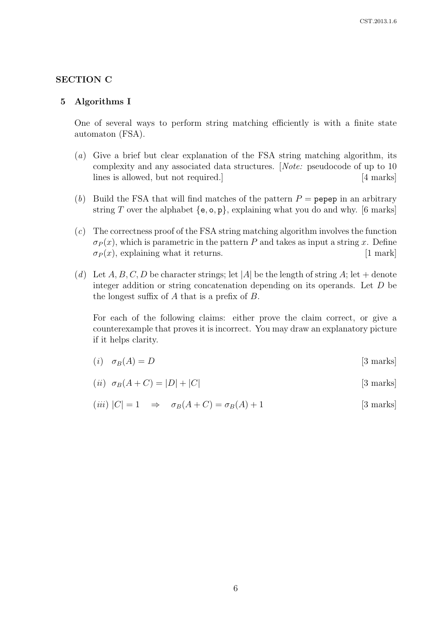# SECTION C

#### 5 Algorithms I

One of several ways to perform string matching efficiently is with a finite state automaton (FSA).

- (a) Give a brief but clear explanation of the FSA string matching algorithm, its complexity and any associated data structures. [Note: pseudocode of up to 10 lines is allowed, but not required.] [4 marks]
- (b) Build the FSA that will find matches of the pattern  $P =$  pepep in an arbitrary string T over the alphabet  ${e, o, p}$ , explaining what you do and why. [6 marks]
- (c) The correctness proof of the FSA string matching algorithm involves the function  $\sigma_P(x)$ , which is parametric in the pattern P and takes as input a string x. Define  $\sigma_P(x)$ , explaining what it returns. [1 mark]
- (d) Let A, B, C, D be character strings; let |A| be the length of string A; let + denote integer addition or string concatenation depending on its operands. Let  $D$  be the longest suffix of A that is a prefix of B.

For each of the following claims: either prove the claim correct, or give a counterexample that proves it is incorrect. You may draw an explanatory picture if it helps clarity.

$$
(i) \quad \sigma_B(A) = D \tag{3 marks}
$$

$$
(ii) \sigma_B(A+C) = |D| + |C|
$$
 [3 marks]

$$
(iii) |C| = 1 \Rightarrow \sigma_B(A+C) = \sigma_B(A) + 1
$$
 [3 marks]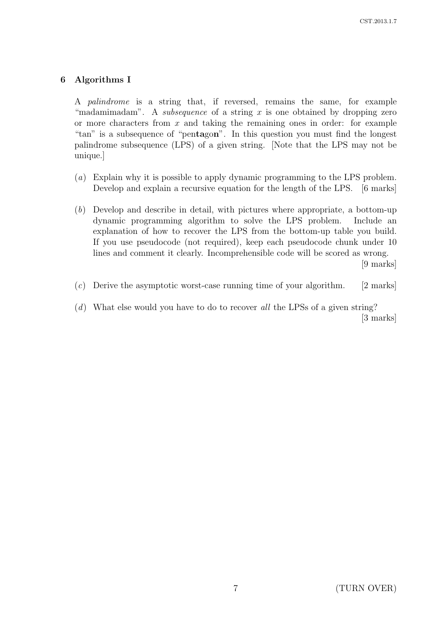# 6 Algorithms I

A palindrome is a string that, if reversed, remains the same, for example "madamimadam". A *subsequence* of a string x is one obtained by dropping zero or more characters from  $x$  and taking the remaining ones in order: for example "tan" is a subsequence of "pentagon". In this question you must find the longest palindrome subsequence (LPS) of a given string. [Note that the LPS may not be unique.]

- (a) Explain why it is possible to apply dynamic programming to the LPS problem. Develop and explain a recursive equation for the length of the LPS. [6 marks]
- (b) Develop and describe in detail, with pictures where appropriate, a bottom-up dynamic programming algorithm to solve the LPS problem. Include an explanation of how to recover the LPS from the bottom-up table you build. If you use pseudocode (not required), keep each pseudocode chunk under 10 lines and comment it clearly. Incomprehensible code will be scored as wrong.

[9 marks]

- $(c)$  Derive the asymptotic worst-case running time of your algorithm. [2 marks]
- $(d)$  What else would you have to do to recover all the LPSs of a given string? [3 marks]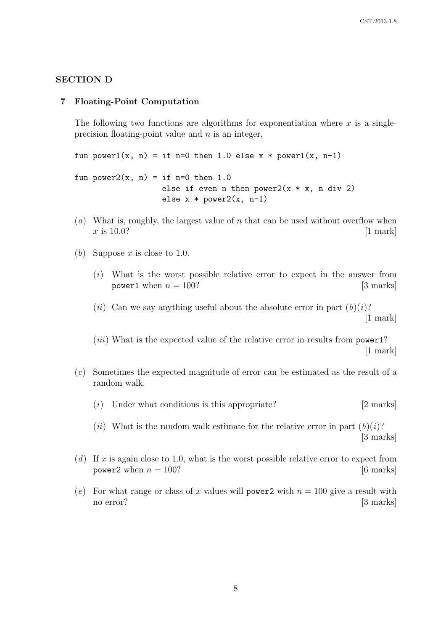## SECTION D

#### 7 Floating-Point Computation

The following two functions are algorithms for exponentiation where  $x$  is a singleprecision floating-point value and  $n$  is an integer,

fun power1(x, n) = if n=0 then 1.0 else  $x * power1(x, n-1)$ 

fun power $2(x, n) = if n=0$  then 1.0 else if even n then power $2(x * x, n \div 2)$ else  $x * power2(x, n-1)$ 

- (a) What is, roughly, the largest value of n that can be used without overflow when  $x \text{ is } 10.0?$  [1 mark]
- (b) Suppose x is close to 1.0.
	- (i) What is the worst possible relative error to expect in the answer from power1 when  $n = 100$ ? [3 marks]
	- (*ii*) Can we say anything useful about the absolute error in part  $(b)(i)$ ? [1 mark]

(*iii*) What is the expected value of the relative error in results from power1? [1 mark]

- (c) Sometimes the expected magnitude of error can be estimated as the result of a random walk.
	- $(i)$  Under what conditions is this appropriate? [2 marks]

(ii) What is the random walk estimate for the relative error in part  $(b)(i)$ ? [3 marks]

- (d) If x is again close to 1.0, what is the worst possible relative error to expect from power2 when  $n = 100$ ? [6 marks]
- (e) For what range or class of x values will power2 with  $n = 100$  give a result with no error? [3 marks]